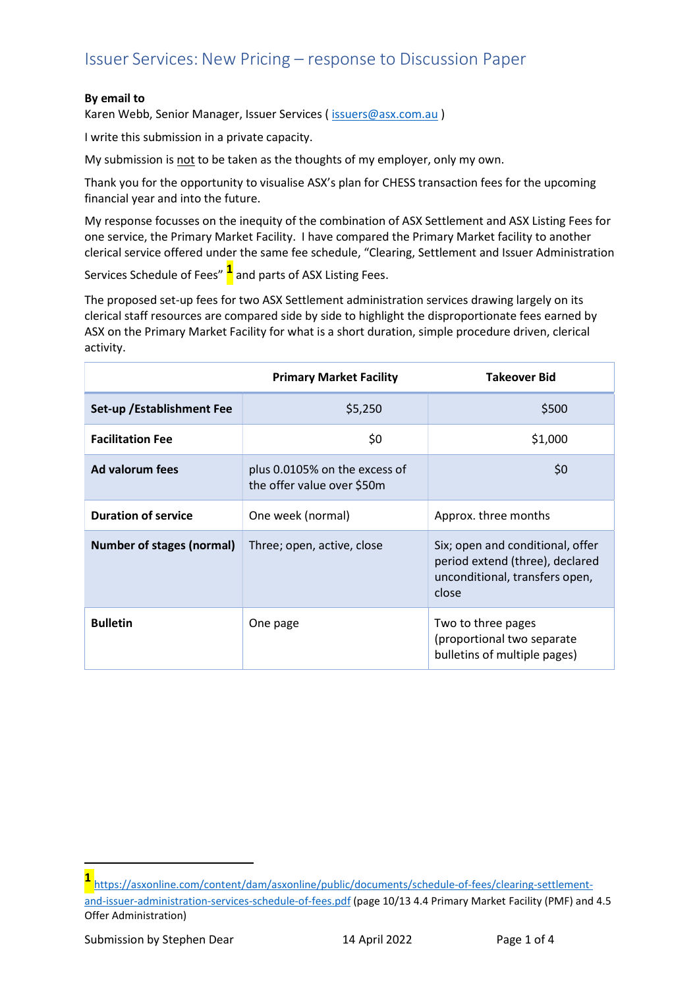#### By email to

Karen Webb, Senior Manager, Issuer Services ( issuers@asx.com.au )

I write this submission in a private capacity.

My submission is not to be taken as the thoughts of my employer, only my own.

Thank you for the opportunity to visualise ASX's plan for CHESS transaction fees for the upcoming financial year and into the future.

My response focusses on the inequity of the combination of ASX Settlement and ASX Listing Fees for one service, the Primary Market Facility. I have compared the Primary Market facility to another clerical service offered under the same fee schedule, "Clearing, Settlement and Issuer Administration

Services Schedule of Fees"  $\frac{1}{1}$  and parts of ASX Listing Fees.

The proposed set-up fees for two ASX Settlement administration services drawing largely on its clerical staff resources are compared side by side to highlight the disproportionate fees earned by ASX on the Primary Market Facility for what is a short duration, simple procedure driven, clerical activity.

|                                  | <b>Primary Market Facility</b>                                                                                                               | <b>Takeover Bid</b>                                                              |
|----------------------------------|----------------------------------------------------------------------------------------------------------------------------------------------|----------------------------------------------------------------------------------|
| Set-up / Establishment Fee       | \$5,250                                                                                                                                      | \$500                                                                            |
| <b>Facilitation Fee</b>          | \$0                                                                                                                                          | \$1,000                                                                          |
| Ad valorum fees                  | plus 0.0105% on the excess of<br>the offer value over \$50m                                                                                  | \$0                                                                              |
| <b>Duration of service</b>       | One week (normal)                                                                                                                            | Approx. three months                                                             |
| <b>Number of stages (normal)</b> | Six; open and conditional, offer<br>Three; open, active, close<br>period extend (three), declared<br>unconditional, transfers open,<br>close |                                                                                  |
| <b>Bulletin</b>                  | One page                                                                                                                                     | Two to three pages<br>(proportional two separate<br>bulletins of multiple pages) |

<sup>1</sup>https://asxonline.com/content/dam/asxonline/public/documents/schedule-of-fees/clearing-settlementand-issuer-administration-services-schedule-of-fees.pdf (page 10/13 4.4 Primary Market Facility (PMF) and 4.5 Offer Administration)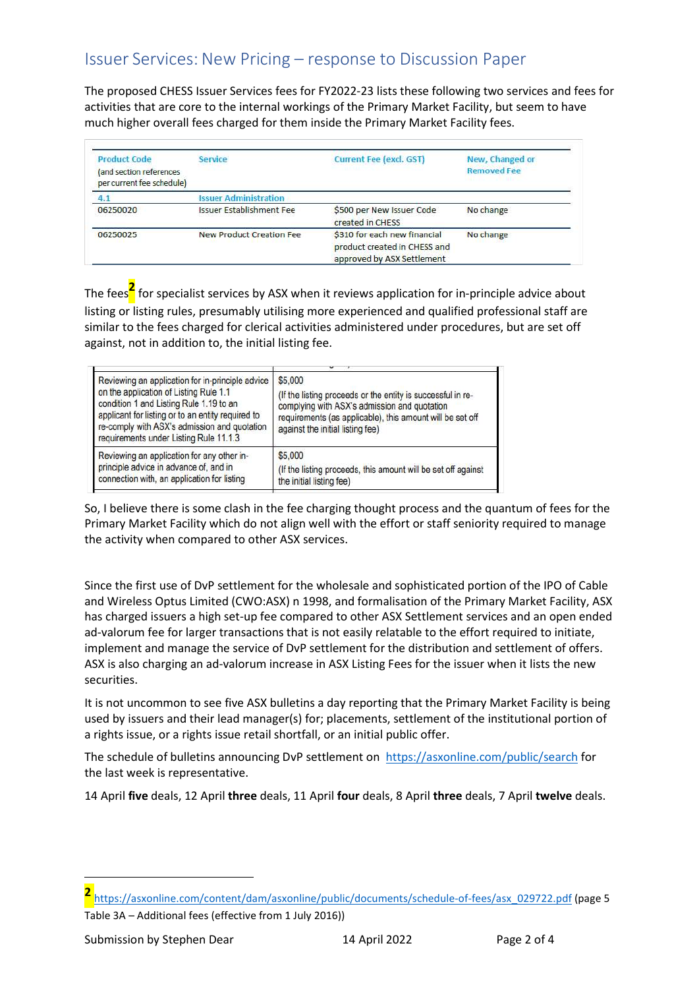The proposed CHESS Issuer Services fees for FY2022-23 lists these following two services and fees for activities that are core to the internal workings of the Primary Market Facility, but seem to have much higher overall fees charged for them inside the Primary Market Facility fees.

| <b>Product Code</b><br>(and section references<br>per current fee schedule) | Service                         | Current Fee (excl. GST)                                                                    | New, Changed or<br><b>Removed Fee</b> |
|-----------------------------------------------------------------------------|---------------------------------|--------------------------------------------------------------------------------------------|---------------------------------------|
| 4.1                                                                         | <b>Issuer Administration</b>    |                                                                                            |                                       |
| 06250020                                                                    | <b>Issuer Establishment Fee</b> | \$500 per New Issuer Code<br>created in CHESS                                              | No change                             |
| 06250025                                                                    | <b>New Product Creation Fee</b> | \$310 for each new financial<br>product created in CHESS and<br>approved by ASX Settlement | No change                             |

The fees<sup>2</sup> for specialist services by ASX when it reviews application for in-principle advice about listing or listing rules, presumably utilising more experienced and qualified professional staff are similar to the fees charged for clerical activities administered under procedures, but are set off against, not in addition to, the initial listing fee.

| Reviewing an application for in-principle advice<br>on the application of Listing Rule 1.1<br>condition 1 and Listing Rule 1.19 to an<br>applicant for listing or to an entity required to<br>re-comply with ASX's admission and quotation<br>requirements under Listing Rule 11.1.3 | \$5,000<br>(If the listing proceeds or the entity is successful in re-<br>complying with ASX's admission and quotation<br>requirements (as applicable), this amount will be set off<br>against the initial listing fee) |
|--------------------------------------------------------------------------------------------------------------------------------------------------------------------------------------------------------------------------------------------------------------------------------------|-------------------------------------------------------------------------------------------------------------------------------------------------------------------------------------------------------------------------|
| Reviewing an application for any other in-                                                                                                                                                                                                                                           | \$5,000                                                                                                                                                                                                                 |
| principle advice in advance of, and in                                                                                                                                                                                                                                               | (If the listing proceeds, this amount will be set off against                                                                                                                                                           |
| connection with, an application for listing                                                                                                                                                                                                                                          | the initial listing fee)                                                                                                                                                                                                |

So, I believe there is some clash in the fee charging thought process and the quantum of fees for the Primary Market Facility which do not align well with the effort or staff seniority required to manage the activity when compared to other ASX services.

Since the first use of DvP settlement for the wholesale and sophisticated portion of the IPO of Cable and Wireless Optus Limited (CWO:ASX) n 1998, and formalisation of the Primary Market Facility, ASX has charged issuers a high set-up fee compared to other ASX Settlement services and an open ended ad-valorum fee for larger transactions that is not easily relatable to the effort required to initiate, implement and manage the service of DvP settlement for the distribution and settlement of offers. ASX is also charging an ad-valorum increase in ASX Listing Fees for the issuer when it lists the new securities.

It is not uncommon to see five ASX bulletins a day reporting that the Primary Market Facility is being used by issuers and their lead manager(s) for; placements, settlement of the institutional portion of a rights issue, or a rights issue retail shortfall, or an initial public offer.

The schedule of bulletins announcing DvP settlement on https://asxonline.com/public/search for the last week is representative.

14 April five deals, 12 April three deals, 11 April four deals, 8 April three deals, 7 April twelve deals.

 $\begin{array}{c} \end{array}$ 

<sup>2</sup>https://asxonline.com/content/dam/asxonline/public/documents/schedule-of-fees/asx\_029722.pdf (page 5 Table 3A – Additional fees (effective from 1 July 2016))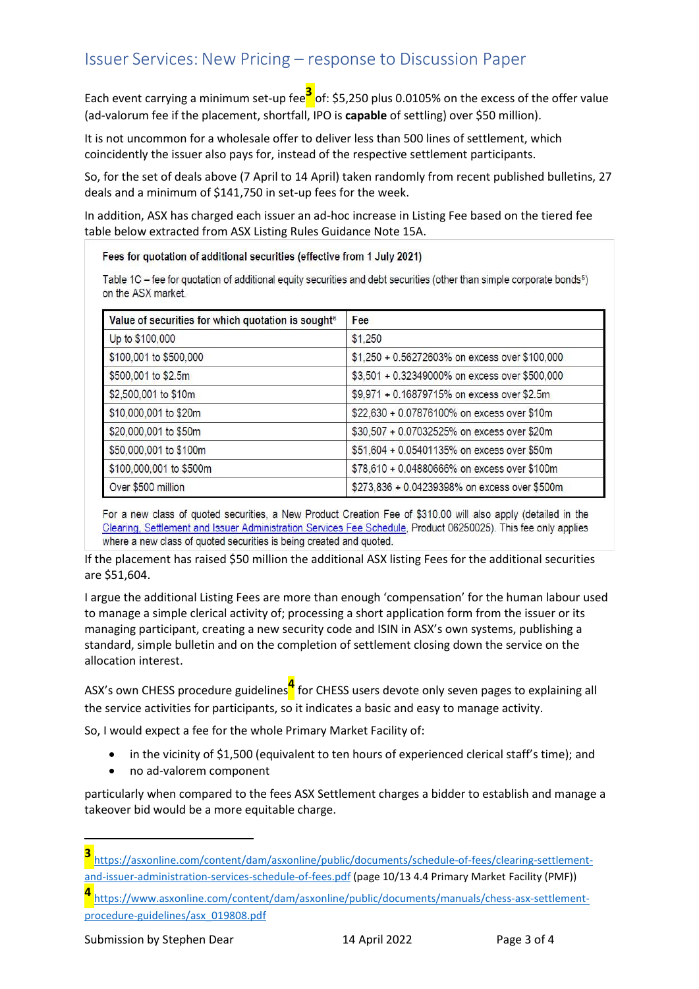Each event carrying a minimum set-up fee $3$  of: \$5,250 plus 0.0105% on the excess of the offer value (ad-valorum fee if the placement, shortfall, IPO is capable of settling) over \$50 million).

It is not uncommon for a wholesale offer to deliver less than 500 lines of settlement, which coincidently the issuer also pays for, instead of the respective settlement participants.

So, for the set of deals above (7 April to 14 April) taken randomly from recent published bulletins, 27 deals and a minimum of \$141,750 in set-up fees for the week.

In addition, ASX has charged each issuer an ad-hoc increase in Listing Fee based on the tiered fee table below extracted from ASX Listing Rules Guidance Note 15A.

Fees for quotation of additional securities (effective from 1 July 2021)

Table 1C – fee for quotation of additional equity securities and debt securities (other than simple corporate bonds<sup>5</sup>) on the ASX market.

| Value of securities for which quotation is sought <sup>6</sup> | Fee                                            |
|----------------------------------------------------------------|------------------------------------------------|
| Up to \$100,000                                                | \$1,250                                        |
| \$100,001 to \$500,000                                         | \$1,250 + 0.56272603% on excess over \$100,000 |
| \$500,001 to \$2.5m                                            | \$3,501 + 0.32349000% on excess over \$500,000 |
| \$2,500,001 to \$10m                                           | \$9,971 + 0.16879715% on excess over \$2.5m    |
| \$10,000,001 to \$20m                                          | \$22,630 + 0.07876100% on excess over \$10m    |
| \$20,000,001 to \$50m                                          | \$30,507 + 0.07032525% on excess over \$20m    |
| \$50,000,001 to \$100m                                         | \$51,604 + 0.05401135% on excess over \$50m    |
| \$100,000,001 to \$500m                                        | \$78,610 + 0.04880666% on excess over \$100m   |
| Over \$500 million                                             | \$273,836 + 0.04239398% on excess over \$500m  |

For a new class of quoted securities, a New Product Creation Fee of \$310.00 will also apply (detailed in the Clearing, Settlement and Issuer Administration Services Fee Schedule, Product 06250025). This fee only applies where a new class of quoted securities is being created and quoted.

If the placement has raised \$50 million the additional ASX listing Fees for the additional securities are \$51,604.

I argue the additional Listing Fees are more than enough 'compensation' for the human labour used to manage a simple clerical activity of; processing a short application form from the issuer or its managing participant, creating a new security code and ISIN in ASX's own systems, publishing a standard, simple bulletin and on the completion of settlement closing down the service on the allocation interest.

ASX's own CHESS procedure guidelines<sup>4</sup> for CHESS users devote only seven pages to explaining all the service activities for participants, so it indicates a basic and easy to manage activity.

So, I would expect a fee for the whole Primary Market Facility of:

- in the vicinity of \$1,500 (equivalent to ten hours of experienced clerical staff's time); and
- no ad-valorem component

particularly when compared to the fees ASX Settlement charges a bidder to establish and manage a takeover bid would be a more equitable charge.

<sup>3</sup>https://asxonline.com/content/dam/asxonline/public/documents/schedule-of-fees/clearing-settlementand-issuer-administration-services-schedule-of-fees.pdf (page 10/13 4.4 Primary Market Facility (PMF))

<sup>4</sup>https://www.asxonline.com/content/dam/asxonline/public/documents/manuals/chess-asx-settlementprocedure-guidelines/asx\_019808.pdf